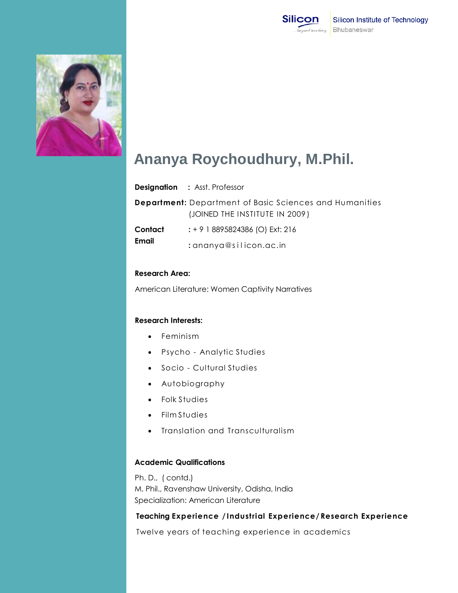



# **Ananya Roychoudhury, M.Phil.**

| <b>Designation</b> |  |  | : Asst. Professor |
|--------------------|--|--|-------------------|
|--------------------|--|--|-------------------|

| <b>Department:</b> Department of Basic Sciences and Humanities |                                |  |  |
|----------------------------------------------------------------|--------------------------------|--|--|
|                                                                | (JOINED THE INSTITUTE IN 2009) |  |  |

- **Contact Email :** + 9 1 8895824386 (O) Ext: 216
	- **:** ananya@s i l icon.ac.in

### **Research Area:**

American Literature: Women Captivity Narratives

### **Research Interests:**

- Feminism
- Psycho Analytic Studies
- Socio Cultural Studies
- Autobiography
- Folk Studies
- Film Studies
- Translation and Transculturalism

## **Academic Qualifications**

Ph. D., ( contd.) M. Phil., Ravenshaw University, Odisha, India Specialization: American Literature

## **Teaching Experience / Industrial Experience/ Research Experience**

Twelve years of teaching experience in academics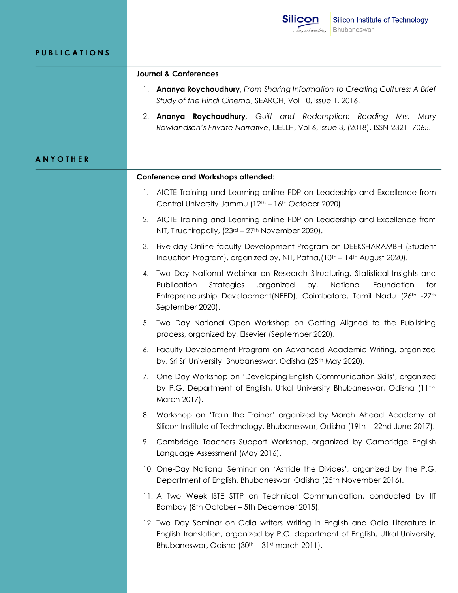|                     | <b>Silicon</b><br>Silicon Institute of Technology<br>Bhubaneswar<br>beyond teaching                                                                                                                                                                                                               |  |  |  |  |
|---------------------|---------------------------------------------------------------------------------------------------------------------------------------------------------------------------------------------------------------------------------------------------------------------------------------------------|--|--|--|--|
| <b>PUBLICATIONS</b> |                                                                                                                                                                                                                                                                                                   |  |  |  |  |
|                     | <b>Journal &amp; Conferences</b>                                                                                                                                                                                                                                                                  |  |  |  |  |
|                     | Ananya Roychoudhury, From Sharing Information to Creating Cultures: A Brief<br>1.<br>Study of the Hindi Cinema, SEARCH, Vol 10, Issue 1, 2016.                                                                                                                                                    |  |  |  |  |
|                     | 2. Ananya Roychoudhury, Guilt and Redemption: Reading Mrs.<br>Marv<br>Rowlandson's Private Narrative, IJELLH, Vol 6, Issue 3, (2018), ISSN-2321-7065.                                                                                                                                             |  |  |  |  |
| ANYOTHER            |                                                                                                                                                                                                                                                                                                   |  |  |  |  |
|                     | <b>Conference and Workshops attended:</b>                                                                                                                                                                                                                                                         |  |  |  |  |
|                     | AICTE Training and Learning online FDP on Leadership and Excellence from<br>$\mathbf{I}$ .<br>Central University Jammu (12 <sup>th</sup> – 16 <sup>th</sup> October 2020).                                                                                                                        |  |  |  |  |
|                     | AICTE Training and Learning online FDP on Leadership and Excellence from<br>2.<br>NIT, Tiruchirapally, (23rd - 27th November 2020).                                                                                                                                                               |  |  |  |  |
|                     | Five-day Online faculty Development Program on DEEKSHARAMBH (Student<br>3.<br>Induction Program), organized by, NIT, Patna, (10 <sup>th</sup> – 14 <sup>th</sup> August 2020).                                                                                                                    |  |  |  |  |
|                     | Two Day National Webinar on Research Structuring, Statistical Insights and<br>4.<br>Publication<br>National<br><b>Strategies</b><br>, organized<br>by,<br>Foundation<br>for<br>Entrepreneurship Development(NFED), Coimbatore, Tamil Nadu (26 <sup>th</sup> -27 <sup>th</sup><br>September 2020). |  |  |  |  |
|                     | 5. Two Day National Open Workshop on Getting Aligned to the Publishing<br>process, organized by, Elsevier (September 2020).                                                                                                                                                                       |  |  |  |  |
|                     | 6. Faculty Development Program on Advanced Academic Writing, organized<br>by, Sri Sri University, Bhubaneswar, Odisha (25th May 2020).                                                                                                                                                            |  |  |  |  |
|                     | One Day Workshop on 'Developing English Communication Skills', organized<br>7.<br>by P.G. Department of English, Utkal University Bhubaneswar, Odisha (11th<br>March 2017).                                                                                                                       |  |  |  |  |
|                     | Workshop on 'Train the Trainer' organized by March Ahead Academy at<br>8.<br>Silicon Institute of Technology, Bhubaneswar, Odisha (19th – 22nd June 2017).                                                                                                                                        |  |  |  |  |
|                     | Cambridge Teachers Support Workshop, organized by Cambridge English<br>9.<br>Language Assessment (May 2016).                                                                                                                                                                                      |  |  |  |  |
|                     | 10. One-Day National Seminar on 'Astride the Divides', organized by the P.G.<br>Department of English, Bhubaneswar, Odisha (25th November 2016).                                                                                                                                                  |  |  |  |  |
|                     | 11. A Two Week ISTE STTP on Technical Communication, conducted by IIT<br>Bombay (8th October – 5th December 2015).                                                                                                                                                                                |  |  |  |  |
|                     | 12. Two Day Seminar on Odia writers Writing in English and Odia Literature in<br>English translation, organized by P.G. department of English, Utkal University,<br>Bhubaneswar, Odisha (30th - 31st march 2011).                                                                                 |  |  |  |  |